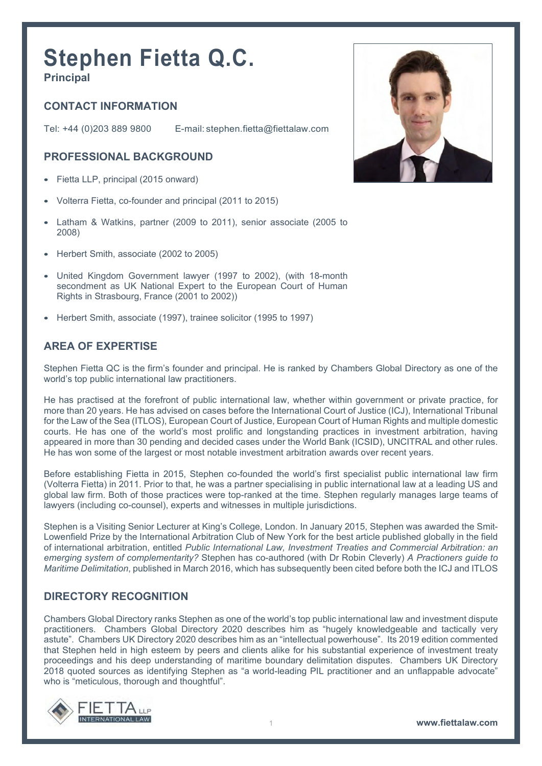# **Stephen Fietta Q.C. Principal**

# **CONTACT INFORMATION**

Tel: +44 (0)203 889 9800 E-mail: stephen.fietta@fiettalaw.com

### **PROFESSIONAL BACKGROUND**

- Fietta LLP, principal (2015 onward)
- Volterra Fietta, co-founder and principal (2011 to 2015)
- Latham & Watkins, partner (2009 to 2011), senior associate (2005 to 2008)
- Herbert Smith, associate (2002 to 2005)
- United Kingdom Government lawyer (1997 to 2002), (with 18-month secondment as UK National Expert to the European Court of Human Rights in Strasbourg, France (2001 to 2002))
- Herbert Smith, associate (1997), trainee solicitor (1995 to 1997)

## **AREA OF EXPERTISE**

Stephen Fietta QC is the firm's founder and principal. He is ranked by Chambers Global Directory as one of the world's top public international law practitioners.

He has practised at the forefront of public international law, whether within government or private practice, for more than 20 years. He has advised on cases before the International Court of Justice (ICJ), International Tribunal for the Law of the Sea (ITLOS), European Court of Justice, European Court of Human Rights and multiple domestic courts. He has one of the world's most prolific and longstanding practices in investment arbitration, having appeared in more than 30 pending and decided cases under the World Bank (ICSID), UNCITRAL and other rules. He has won some of the largest or most notable investment arbitration awards over recent years.

Before establishing Fietta in 2015, Stephen co-founded the world's first specialist public international law firm (Volterra Fietta) in 2011. Prior to that, he was a partner specialising in public international law at a leading US and global law firm. Both of those practices were top-ranked at the time. Stephen regularly manages large teams of lawyers (including co-counsel), experts and witnesses in multiple jurisdictions.

Stephen is a Visiting Senior Lecturer at King's College, London. In January 2015, Stephen was awarded the Smit-Lowenfield Prize by the International Arbitration Club of New York for the best article published globally in the field of international arbitration, entitled *Public International Law, Investment Treaties and Commercial Arbitration: an emerging system of complementarity?* Stephen has co-authored (with Dr Robin Cleverly) *A Practioners guide to Maritime Delimitation*, published in March 2016, which has subsequently been cited before both the ICJ and ITLOS

#### **DIRECTORY RECOGNITION**

Chambers Global Directory ranks Stephen as one of the world's top public international law and investment dispute practitioners. Chambers Global Directory 2020 describes him as "hugely knowledgeable and tactically very astute". Chambers UK Directory 2020 describes him as an "intellectual powerhouse". Its 2019 edition commented that Stephen held in high esteem by peers and clients alike for his substantial experience of investment treaty proceedings and his deep understanding of maritime boundary delimitation disputes. Chambers UK Directory 2018 quoted sources as identifying Stephen as "a world-leading PIL practitioner and an unflappable advocate" who is "meticulous, thorough and thoughtful".



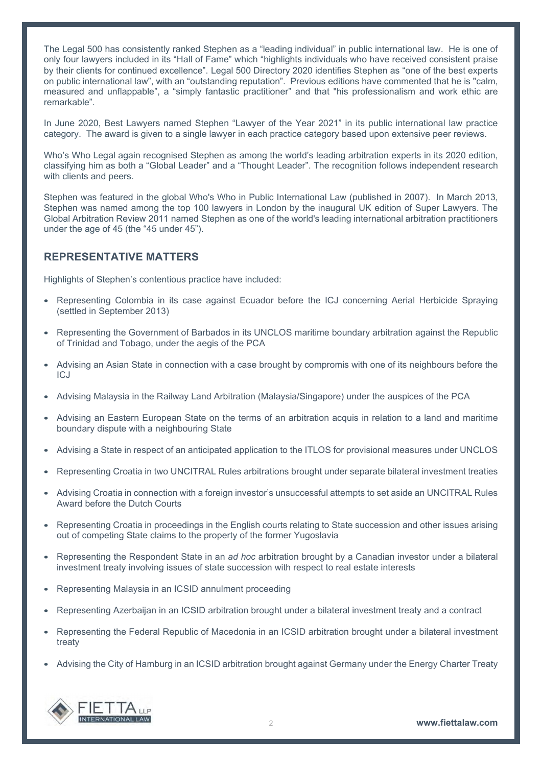The Legal 500 has consistently ranked Stephen as a "leading individual" in public international law. He is one of only four lawyers included in its "Hall of Fame" which "highlights individuals who have received consistent praise by their clients for continued excellence". Legal 500 Directory 2020 identifies Stephen as "one of the best experts on public international law", with an "outstanding reputation". Previous editions have commented that he is "calm, measured and unflappable", a "simply fantastic practitioner" and that "his professionalism and work ethic are remarkable".

In June 2020, Best Lawyers named Stephen "Lawyer of the Year 2021" in its public international law practice category. The award is given to a single lawyer in each practice category based upon extensive peer reviews.

Who's Who Legal again recognised Stephen as among the world's leading arbitration experts in its 2020 edition, classifying him as both a "Global Leader" and a "Thought Leader". The recognition follows independent research with clients and peers.

Stephen was featured in the global Who's Who in Public International Law (published in 2007). In March 2013, Stephen was named among the top 100 lawyers in London by the inaugural UK edition of Super Lawyers. The Global Arbitration Review 2011 named Stephen as one of the world's leading international arbitration practitioners under the age of 45 (the "45 under 45").

### **REPRESENTATIVE MATTERS**

Highlights of Stephen's contentious practice have included:

- Representing Colombia in its case against Ecuador before the ICJ concerning Aerial Herbicide Spraying (settled in September 2013)
- Representing the Government of Barbados in its UNCLOS maritime boundary arbitration against the Republic of Trinidad and Tobago, under the aegis of the PCA
- Advising an Asian State in connection with a case brought by compromis with one of its neighbours before the ICJ
- Advising Malaysia in the Railway Land Arbitration (Malaysia/Singapore) under the auspices of the PCA
- Advising an Eastern European State on the terms of an arbitration acquis in relation to a land and maritime boundary dispute with a neighbouring State
- Advising a State in respect of an anticipated application to the ITLOS for provisional measures under UNCLOS
- Representing Croatia in two UNCITRAL Rules arbitrations brought under separate bilateral investment treaties
- Advising Croatia in connection with a foreign investor's unsuccessful attempts to set aside an UNCITRAL Rules Award before the Dutch Courts
- Representing Croatia in proceedings in the English courts relating to State succession and other issues arising out of competing State claims to the property of the former Yugoslavia
- Representing the Respondent State in an *ad hoc* arbitration brought by a Canadian investor under a bilateral investment treaty involving issues of state succession with respect to real estate interests
- Representing Malaysia in an ICSID annulment proceeding
- Representing Azerbaijan in an ICSID arbitration brought under a bilateral investment treaty and a contract
- Representing the Federal Republic of Macedonia in an ICSID arbitration brought under a bilateral investment treaty
- Advising the City of Hamburg in an ICSID arbitration brought against Germany under the Energy Charter Treaty

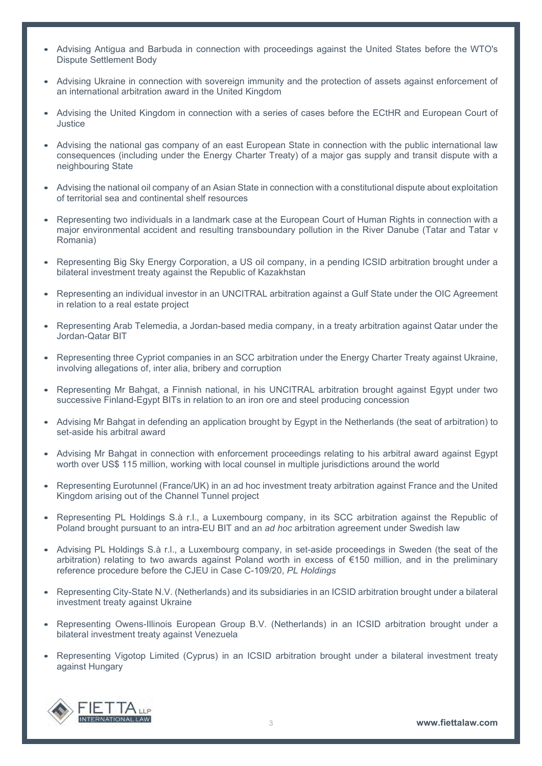- Advising Antigua and Barbuda in connection with proceedings against the United States before the WTO's Dispute Settlement Body
- Advising Ukraine in connection with sovereign immunity and the protection of assets against enforcement of an international arbitration award in the United Kingdom
- Advising the United Kingdom in connection with a series of cases before the ECtHR and European Court of **Justice**
- Advising the national gas company of an east European State in connection with the public international law consequences (including under the Energy Charter Treaty) of a major gas supply and transit dispute with a neighbouring State
- Advising the national oil company of an Asian State in connection with a constitutional dispute about exploitation of territorial sea and continental shelf resources
- Representing two individuals in a landmark case at the European Court of Human Rights in connection with a major environmental accident and resulting transboundary pollution in the River Danube (Tatar and Tatar v Romania)
- Representing Big Sky Energy Corporation, a US oil company, in a pending ICSID arbitration brought under a bilateral investment treaty against the Republic of Kazakhstan
- Representing an individual investor in an UNCITRAL arbitration against a Gulf State under the OIC Agreement in relation to a real estate project
- Representing Arab Telemedia, a Jordan-based media company, in a treaty arbitration against Qatar under the Jordan-Qatar BIT
- Representing three Cypriot companies in an SCC arbitration under the Energy Charter Treaty against Ukraine, involving allegations of, inter alia, bribery and corruption
- Representing Mr Bahgat, a Finnish national, in his UNCITRAL arbitration brought against Egypt under two successive Finland-Egypt BITs in relation to an iron ore and steel producing concession
- Advising Mr Bahgat in defending an application brought by Egypt in the Netherlands (the seat of arbitration) to set-aside his arbitral award
- Advising Mr Bahgat in connection with enforcement proceedings relating to his arbitral award against Egypt worth over US\$ 115 million, working with local counsel in multiple jurisdictions around the world
- Representing Eurotunnel (France/UK) in an ad hoc investment treaty arbitration against France and the United Kingdom arising out of the Channel Tunnel project
- Representing PL Holdings S.à r.l., a Luxembourg company, in its SCC arbitration against the Republic of Poland brought pursuant to an intra-EU BIT and an *ad hoc* arbitration agreement under Swedish law
- Advising PL Holdings S.à r.l., a Luxembourg company, in set-aside proceedings in Sweden (the seat of the arbitration) relating to two awards against Poland worth in excess of €150 million, and in the preliminary reference procedure before the CJEU in Case C-109/20, *PL Holdings*
- Representing City-State N.V. (Netherlands) and its subsidiaries in an ICSID arbitration brought under a bilateral investment treaty against Ukraine
- Representing Owens-Illinois European Group B.V. (Netherlands) in an ICSID arbitration brought under a bilateral investment treaty against Venezuela
- Representing Vigotop Limited (Cyprus) in an ICSID arbitration brought under a bilateral investment treaty against Hungary

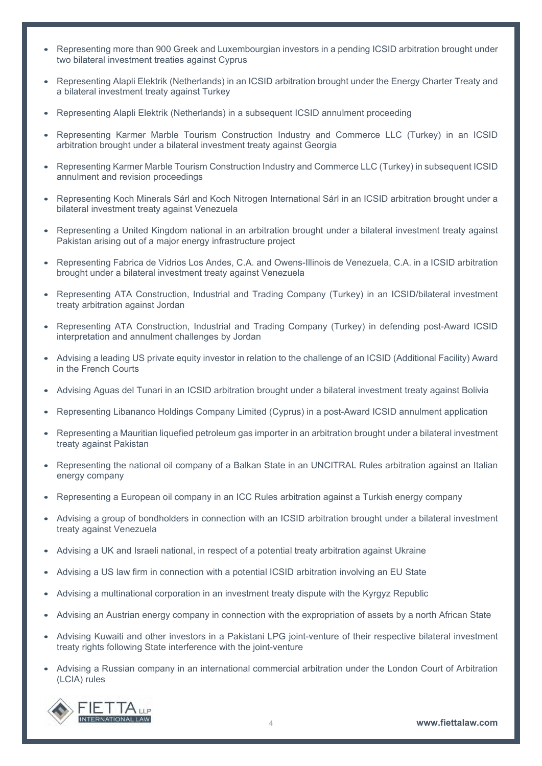- Representing more than 900 Greek and Luxembourgian investors in a pending ICSID arbitration brought under two bilateral investment treaties against Cyprus
- Representing Alapli Elektrik (Netherlands) in an ICSID arbitration brought under the Energy Charter Treaty and a bilateral investment treaty against Turkey
- Representing Alapli Elektrik (Netherlands) in a subsequent ICSID annulment proceeding
- Representing Karmer Marble Tourism Construction Industry and Commerce LLC (Turkey) in an ICSID arbitration brought under a bilateral investment treaty against Georgia
- Representing Karmer Marble Tourism Construction Industry and Commerce LLC (Turkey) in subsequent ICSID annulment and revision proceedings
- Representing Koch Minerals Sárl and Koch Nitrogen International Sárl in an ICSID arbitration brought under a bilateral investment treaty against Venezuela
- Representing a United Kingdom national in an arbitration brought under a bilateral investment treaty against Pakistan arising out of a major energy infrastructure project
- Representing Fabrica de Vidrios Los Andes, C.A. and Owens-Illinois de Venezuela, C.A. in a ICSID arbitration brought under a bilateral investment treaty against Venezuela
- Representing ATA Construction, Industrial and Trading Company (Turkey) in an ICSID/bilateral investment treaty arbitration against Jordan
- Representing ATA Construction, Industrial and Trading Company (Turkey) in defending post-Award ICSID interpretation and annulment challenges by Jordan
- Advising a leading US private equity investor in relation to the challenge of an ICSID (Additional Facility) Award in the French Courts
- Advising Aguas del Tunari in an ICSID arbitration brought under a bilateral investment treaty against Bolivia
- Representing Libananco Holdings Company Limited (Cyprus) in a post-Award ICSID annulment application
- Representing a Mauritian liquefied petroleum gas importer in an arbitration brought under a bilateral investment treaty against Pakistan
- Representing the national oil company of a Balkan State in an UNCITRAL Rules arbitration against an Italian energy company
- Representing a European oil company in an ICC Rules arbitration against a Turkish energy company
- Advising a group of bondholders in connection with an ICSID arbitration brought under a bilateral investment treaty against Venezuela
- Advising a UK and Israeli national, in respect of a potential treaty arbitration against Ukraine
- Advising a US law firm in connection with a potential ICSID arbitration involving an EU State
- Advising a multinational corporation in an investment treaty dispute with the Kyrgyz Republic
- Advising an Austrian energy company in connection with the expropriation of assets by a north African State
- Advising Kuwaiti and other investors in a Pakistani LPG joint-venture of their respective bilateral investment treaty rights following State interference with the joint-venture
- Advising a Russian company in an international commercial arbitration under the London Court of Arbitration (LCIA) rules

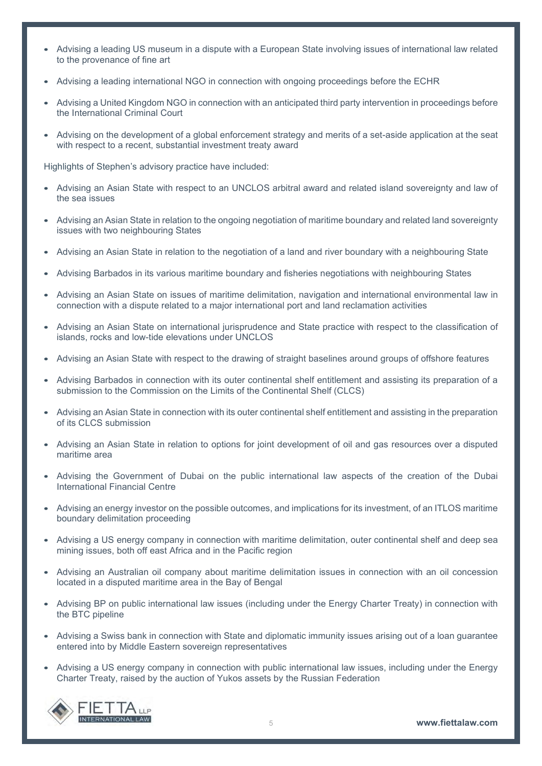- Advising a leading US museum in a dispute with a European State involving issues of international law related to the provenance of fine art
- Advising a leading international NGO in connection with ongoing proceedings before the ECHR
- Advising a United Kingdom NGO in connection with an anticipated third party intervention in proceedings before the International Criminal Court
- Advising on the development of a global enforcement strategy and merits of a set-aside application at the seat with respect to a recent, substantial investment treaty award

Highlights of Stephen's advisory practice have included:

- Advising an Asian State with respect to an UNCLOS arbitral award and related island sovereignty and law of the sea issues
- Advising an Asian State in relation to the ongoing negotiation of maritime boundary and related land sovereignty issues with two neighbouring States
- Advising an Asian State in relation to the negotiation of a land and river boundary with a neighbouring State
- Advising Barbados in its various maritime boundary and fisheries negotiations with neighbouring States
- Advising an Asian State on issues of maritime delimitation, navigation and international environmental law in connection with a dispute related to a major international port and land reclamation activities
- Advising an Asian State on international jurisprudence and State practice with respect to the classification of islands, rocks and low-tide elevations under UNCLOS
- Advising an Asian State with respect to the drawing of straight baselines around groups of offshore features
- Advising Barbados in connection with its outer continental shelf entitlement and assisting its preparation of a submission to the Commission on the Limits of the Continental Shelf (CLCS)
- Advising an Asian State in connection with its outer continental shelf entitlement and assisting in the preparation of its CLCS submission
- Advising an Asian State in relation to options for joint development of oil and gas resources over a disputed maritime area
- Advising the Government of Dubai on the public international law aspects of the creation of the Dubai International Financial Centre
- Advising an energy investor on the possible outcomes, and implications for its investment, of an ITLOS maritime boundary delimitation proceeding
- Advising a US energy company in connection with maritime delimitation, outer continental shelf and deep sea mining issues, both off east Africa and in the Pacific region
- Advising an Australian oil company about maritime delimitation issues in connection with an oil concession located in a disputed maritime area in the Bay of Bengal
- Advising BP on public international law issues (including under the Energy Charter Treaty) in connection with the BTC pipeline
- Advising a Swiss bank in connection with State and diplomatic immunity issues arising out of a loan guarantee entered into by Middle Eastern sovereign representatives
- Advising a US energy company in connection with public international law issues, including under the Energy Charter Treaty, raised by the auction of Yukos assets by the Russian Federation

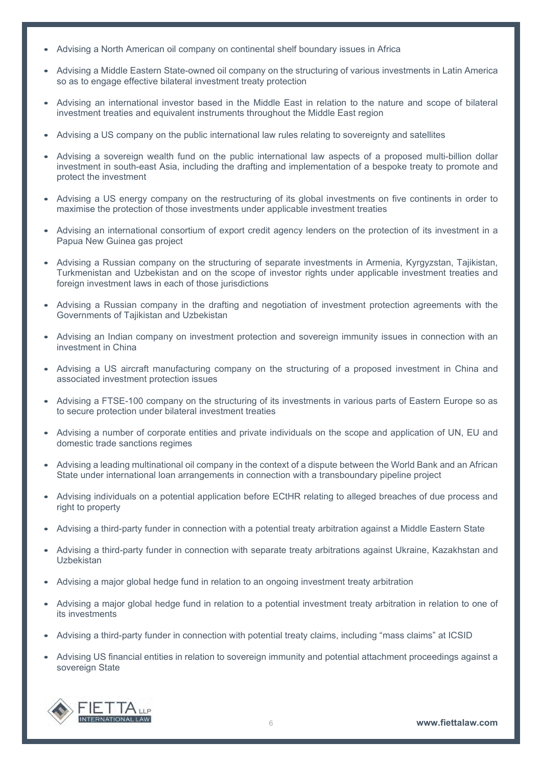- Advising a North American oil company on continental shelf boundary issues in Africa
- Advising a Middle Eastern State-owned oil company on the structuring of various investments in Latin America so as to engage effective bilateral investment treaty protection
- Advising an international investor based in the Middle East in relation to the nature and scope of bilateral investment treaties and equivalent instruments throughout the Middle East region
- Advising a US company on the public international law rules relating to sovereignty and satellites
- Advising a sovereign wealth fund on the public international law aspects of a proposed multi-billion dollar investment in south-east Asia, including the drafting and implementation of a bespoke treaty to promote and protect the investment
- Advising a US energy company on the restructuring of its global investments on five continents in order to maximise the protection of those investments under applicable investment treaties
- Advising an international consortium of export credit agency lenders on the protection of its investment in a Papua New Guinea gas project
- Advising a Russian company on the structuring of separate investments in Armenia, Kyrgyzstan, Tajikistan, Turkmenistan and Uzbekistan and on the scope of investor rights under applicable investment treaties and foreign investment laws in each of those jurisdictions
- Advising a Russian company in the drafting and negotiation of investment protection agreements with the Governments of Tajikistan and Uzbekistan
- Advising an Indian company on investment protection and sovereign immunity issues in connection with an investment in China
- Advising a US aircraft manufacturing company on the structuring of a proposed investment in China and associated investment protection issues
- Advising a FTSE-100 company on the structuring of its investments in various parts of Eastern Europe so as to secure protection under bilateral investment treaties
- Advising a number of corporate entities and private individuals on the scope and application of UN, EU and domestic trade sanctions regimes
- Advising a leading multinational oil company in the context of a dispute between the World Bank and an African State under international loan arrangements in connection with a transboundary pipeline project
- Advising individuals on a potential application before ECtHR relating to alleged breaches of due process and right to property
- Advising a third-party funder in connection with a potential treaty arbitration against a Middle Eastern State
- Advising a third-party funder in connection with separate treaty arbitrations against Ukraine, Kazakhstan and Uzbekistan
- Advising a major global hedge fund in relation to an ongoing investment treaty arbitration
- Advising a major global hedge fund in relation to a potential investment treaty arbitration in relation to one of its investments
- Advising a third-party funder in connection with potential treaty claims, including "mass claims" at ICSID
- Advising US financial entities in relation to sovereign immunity and potential attachment proceedings against a sovereign State